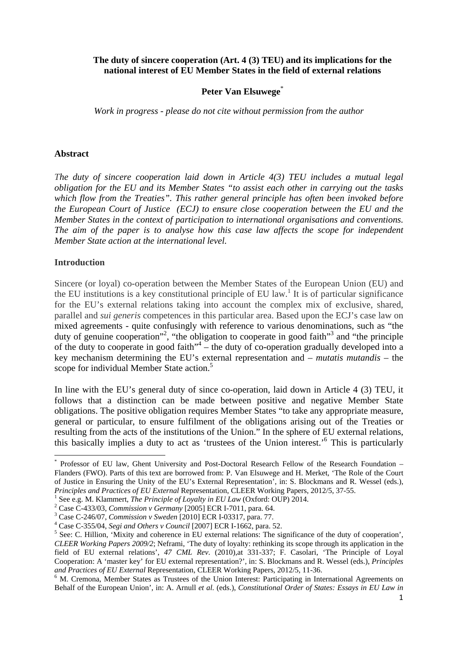## **The duty of sincere cooperation (Art. 4 (3) TEU) and its implications for the national interest of EU Member States in the field of external relations**

#### **Peter Van Elsuwege**\*

*Work in progress - please do not cite without permission from the author* 

#### **Abstract**

*The duty of sincere cooperation laid down in Article 4(3) TEU includes a mutual legal obligation for the EU and its Member States "to assist each other in carrying out the tasks which flow from the Treaties". This rather general principle has often been invoked before the European Court of Justice (ECJ) to ensure close cooperation between the EU and the Member States in the context of participation to international organisations and conventions. The aim of the paper is to analyse how this case law affects the scope for independent Member State action at the international level.* 

## **Introduction**

Sincere (or loyal) co-operation between the Member States of the European Union (EU) and the EU institutions is a key constitutional principle of EU law.<sup>1</sup> It is of particular significance for the EU's external relations taking into account the complex mix of exclusive, shared, parallel and *sui generis* competences in this particular area. Based upon the ECJ's case law on mixed agreements - quite confusingly with reference to various denominations, such as "the duty of genuine cooperation"<sup>2</sup>, "the obligation to cooperate in good faith"<sup>3</sup> and "the principle of the duty to cooperate in good faith<sup> $1/4$ </sup> – the duty of co-operation gradually developed into a key mechanism determining the EU's external representation and – *mutatis mutandis* – the scope for individual Member State action.<sup>5</sup>

In line with the EU's general duty of since co-operation, laid down in Article 4 (3) TEU, it follows that a distinction can be made between positive and negative Member State obligations. The positive obligation requires Member States "to take any appropriate measure, general or particular, to ensure fulfilment of the obligations arising out of the Treaties or resulting from the acts of the institutions of the Union." In the sphere of EU external relations, this basically implies a duty to act as 'trustees of the Union interest.'6 This is particularly

<sup>\*</sup> Professor of EU law, Ghent University and Post-Doctoral Research Fellow of the Research Foundation – Flanders (FWO). Parts of this text are borrowed from: P. Van Elsuwege and H. Merket, 'The Role of the Court of Justice in Ensuring the Unity of the EU's External Representation', in: S. Blockmans and R. Wessel (eds.), *Principles and Practices of EU External Representation, CLEER Working Papers, 2012/5, 37-55.* 

<sup>&</sup>lt;sup>1</sup> See e.g. M. Klammert, *The Principle of Loyalty in EU Law* (Oxford: OUP) 2014.

Case C-433/03, *Commission v Germany* [2005] ECR I-7011, para. 64. 3

Case C-246/07, *Commission v Sweden* [2010] ECR I-03317, para. 77. 4

<sup>&</sup>lt;sup>4</sup> Case C-355/04, *Segi and Others v Council* [2007] ECR I-1662, para. 52.

<sup>&</sup>lt;sup>5</sup> See: C. Hillion, 'Mixity and coherence in EU external relations: The significance of the duty of cooperation', *CLEER Working Papers 2009/2*; Neframi, 'The duty of loyalty: rethinking its scope through its application in the field of EU external relations', *47 CML Rev*. (2010),at 331-337; F. Casolari, 'The Principle of Loyal Cooperation: A 'master key' for EU external representation?'*,* in: S. Blockmans and R. Wessel (eds.), *Principles*  and Practices of EU External Representation, CLEER Working Papers, 2012/5, 11-36.

<sup>&</sup>lt;sup>6</sup> M. Cremona, Member States as Trustees of the Union Interest: Participating in International Agreements on Behalf of the European Union', in: A. Arnull *et al.* (eds.), *Constitutional Order of States: Essays in EU Law in*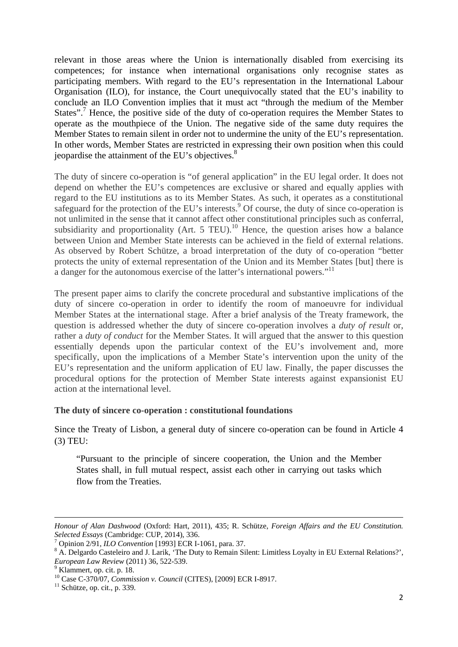relevant in those areas where the Union is internationally disabled from exercising its competences; for instance when international organisations only recognise states as participating members. With regard to the EU's representation in the International Labour Organisation (ILO), for instance, the Court unequivocally stated that the EU's inability to conclude an ILO Convention implies that it must act "through the medium of the Member States".<sup>7</sup> Hence, the positive side of the duty of co-operation requires the Member States to operate as the mouthpiece of the Union. The negative side of the same duty requires the Member States to remain silent in order not to undermine the unity of the EU's representation. In other words, Member States are restricted in expressing their own position when this could jeopardise the attainment of the EU's objectives.<sup>8</sup>

The duty of sincere co-operation is "of general application" in the EU legal order. It does not depend on whether the EU's competences are exclusive or shared and equally applies with regard to the EU institutions as to its Member States. As such, it operates as a constitutional safeguard for the protection of the EU's interests.<sup>9</sup> Of course, the duty of since co-operation is not unlimited in the sense that it cannot affect other constitutional principles such as conferral, subsidiarity and proportionality (Art. 5 TEU).<sup>10</sup> Hence, the question arises how a balance between Union and Member State interests can be achieved in the field of external relations. As observed by Robert Schütze, a broad interpretation of the duty of co-operation "better protects the unity of external representation of the Union and its Member States [but] there is a danger for the autonomous exercise of the latter's international powers."<sup>11</sup>

The present paper aims to clarify the concrete procedural and substantive implications of the duty of sincere co-operation in order to identify the room of manoeuvre for individual Member States at the international stage. After a brief analysis of the Treaty framework, the question is addressed whether the duty of sincere co-operation involves a *duty of result* or, rather a *duty of conduct* for the Member States. It will argued that the answer to this question essentially depends upon the particular context of the EU's involvement and, more specifically, upon the implications of a Member State's intervention upon the unity of the EU's representation and the uniform application of EU law. Finally, the paper discusses the procedural options for the protection of Member State interests against expansionist EU action at the international level.

## **The duty of sincere co-operation : constitutional foundations**

Since the Treaty of Lisbon, a general duty of sincere co-operation can be found in Article 4 (3) TEU:

"Pursuant to the principle of sincere cooperation, the Union and the Member States shall, in full mutual respect, assist each other in carrying out tasks which flow from the Treaties.

<sup>&</sup>lt;u> 1989 - Johann Barn, amerikansk politiker (d. 1989)</u> *Honour of Alan Dashwood* (Oxford: Hart, 2011), 435; R. Schütze, *Foreign Affairs and the EU Constitution. Selected Essays* (Cambridge: CUP, 2014), 336.

Opinion 2/91, *ILO Convention* [1993] ECR I-1061, para. 37. 8

<sup>&</sup>lt;sup>8</sup> A. Delgardo Casteleiro and J. Larik, 'The Duty to Remain Silent: Limitless Loyalty in EU External Relations?', *European Law Review* (2011) 36, 522-539.

Klammert, op. cit. p. 18.

<sup>&</sup>lt;sup>10</sup> Case C-370/07, *Commission v. Council* (CITES), [2009] ECR I-8917.<br><sup>11</sup> Schütze, op. cit., p. 339.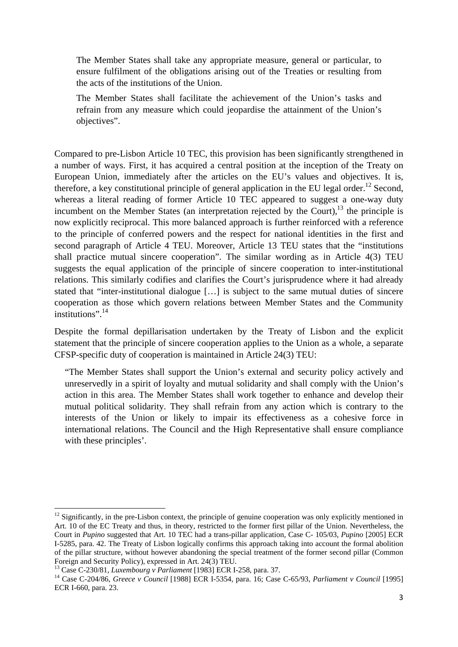The Member States shall take any appropriate measure, general or particular, to ensure fulfilment of the obligations arising out of the Treaties or resulting from the acts of the institutions of the Union.

The Member States shall facilitate the achievement of the Union's tasks and refrain from any measure which could jeopardise the attainment of the Union's objectives".

Compared to pre-Lisbon Article 10 TEC, this provision has been significantly strengthened in a number of ways. First, it has acquired a central position at the inception of the Treaty on European Union, immediately after the articles on the EU's values and objectives. It is, therefore, a key constitutional principle of general application in the EU legal order.<sup>12</sup> Second, whereas a literal reading of former Article 10 TEC appeared to suggest a one-way duty incumbent on the Member States (an interpretation rejected by the Court), $^{13}$  the principle is now explicitly reciprocal. This more balanced approach is further reinforced with a reference to the principle of conferred powers and the respect for national identities in the first and second paragraph of Article 4 TEU. Moreover, Article 13 TEU states that the "institutions shall practice mutual sincere cooperation". The similar wording as in Article 4(3) TEU suggests the equal application of the principle of sincere cooperation to inter-institutional relations. This similarly codifies and clarifies the Court's jurisprudence where it had already stated that "inter-institutional dialogue […] is subject to the same mutual duties of sincere cooperation as those which govern relations between Member States and the Community institutions".<sup>14</sup>

Despite the formal depillarisation undertaken by the Treaty of Lisbon and the explicit statement that the principle of sincere cooperation applies to the Union as a whole, a separate CFSP-specific duty of cooperation is maintained in Article 24(3) TEU:

"The Member States shall support the Union's external and security policy actively and unreservedly in a spirit of loyalty and mutual solidarity and shall comply with the Union's action in this area. The Member States shall work together to enhance and develop their mutual political solidarity. They shall refrain from any action which is contrary to the interests of the Union or likely to impair its effectiveness as a cohesive force in international relations. The Council and the High Representative shall ensure compliance with these principles'.

 $12$  Significantly, in the pre-Lisbon context, the principle of genuine cooperation was only explicitly mentioned in Art. 10 of the EC Treaty and thus, in theory, restricted to the former first pillar of the Union. Nevertheless, the Court in *Pupino* suggested that Art. 10 TEC had a trans-pillar application, Case C- 105/03, *Pupino* [2005] ECR I-5285, para. 42. The Treaty of Lisbon logically confirms this approach taking into account the formal abolition of the pillar structure, without however abandoning the special treatment of the former second pillar (Common Foreign and Security Policy), expressed in Art. 24(3) TEU.<br><sup>13</sup> Case C-230/81, *Luxembourg v Parliament* [1983] ECR I-258, para. 37.<br><sup>14</sup> Case C-204/86, *Greece v Council* [1988] ECR I-5354, para. 16; Case C-65/93, *Parlia* 

ECR I-660, para. 23.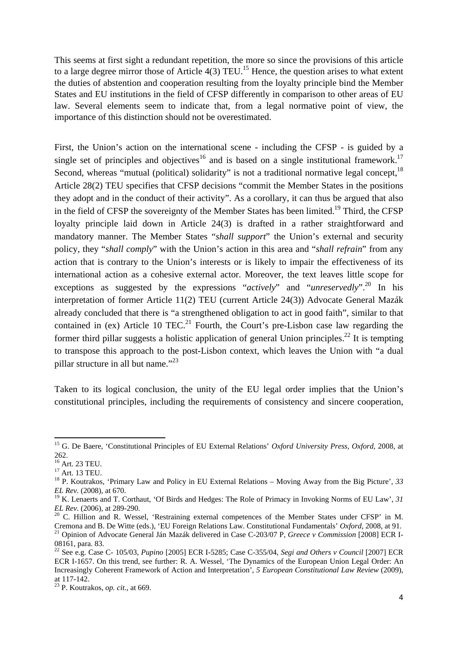This seems at first sight a redundant repetition, the more so since the provisions of this article to a large degree mirror those of Article  $4(3)$  TEU.<sup>15</sup> Hence, the question arises to what extent the duties of abstention and cooperation resulting from the loyalty principle bind the Member States and EU institutions in the field of CFSP differently in comparison to other areas of EU law. Several elements seem to indicate that, from a legal normative point of view, the importance of this distinction should not be overestimated.

First, the Union's action on the international scene - including the CFSP - is guided by a single set of principles and objectives<sup>16</sup> and is based on a single institutional framework.<sup>17</sup> Second, whereas "mutual (political) solidarity" is not a traditional normative legal concept, <sup>18</sup> Article 28(2) TEU specifies that CFSP decisions "commit the Member States in the positions they adopt and in the conduct of their activity". As a corollary, it can thus be argued that also in the field of CFSP the sovereignty of the Member States has been limited.<sup>19</sup> Third, the CFSP loyalty principle laid down in Article 24(3) is drafted in a rather straightforward and mandatory manner. The Member States "*shall support*" the Union's external and security policy, they "*shall comply*" with the Union's action in this area and "*shall refrain*" from any action that is contrary to the Union's interests or is likely to impair the effectiveness of its international action as a cohesive external actor. Moreover, the text leaves little scope for exceptions as suggested by the expressions "*actively*" and "*unreservedly*".<sup>20</sup> In his interpretation of former Article 11(2) TEU (current Article 24(3)) Advocate General Mazák already concluded that there is "a strengthened obligation to act in good faith", similar to that contained in (ex) Article 10 TEC.<sup>21</sup> Fourth, the Court's pre-Lisbon case law regarding the former third pillar suggests a holistic application of general Union principles.<sup>22</sup> It is tempting to transpose this approach to the post-Lisbon context, which leaves the Union with "a dual pillar structure in all but name."<sup>23</sup>

Taken to its logical conclusion, the unity of the EU legal order implies that the Union's constitutional principles, including the requirements of consistency and sincere cooperation,

<sup>15</sup> G. De Baere, 'Constitutional Principles of EU External Relations' *Oxford University Press, Oxford*, 2008, at 262.

<sup>16</sup> Art. 23 TEU.

 $17$  Art. 13 TEU.

<sup>18</sup> P. Koutrakos, 'Primary Law and Policy in EU External Relations – Moving Away from the Big Picture', *33 EL Rev.* (2008), at 670.

<sup>&</sup>lt;sup>19</sup> K. Lenaerts and T. Corthaut, 'Of Birds and Hedges: The Role of Primacy in Invoking Norms of EU Law', 31

*EL Rev.* (2006), at 289-290.<br><sup>20</sup> C. Hillion and R. Wessel, 'Restraining external competences of the Member States under CFSP' in M.<br>Cremona and B. De Witte (eds.). 'EU Foreign Relations Law. Constitutional Fundamentals'

<sup>&</sup>lt;sup>21</sup> Opinion of Advocate General Ján Mazák delivered in Case C-203/07 P, Greece v Commission [2008] ECR I-08161, para. 83.

<sup>22</sup> See e.g. Case C- 105/03, *Pupino* [2005] ECR I-5285; Case C-355/04, *Segi and Others v Council* [2007] ECR ECR I-1657. On this trend, see further: R. A. Wessel, 'The Dynamics of the European Union Legal Order: An Increasingly Coherent Framework of Action and Interpretation', *5 European Constitutional Law Review* (2009), at 117-142.

<sup>23</sup> P. Koutrakos, *op. cit*., at 669.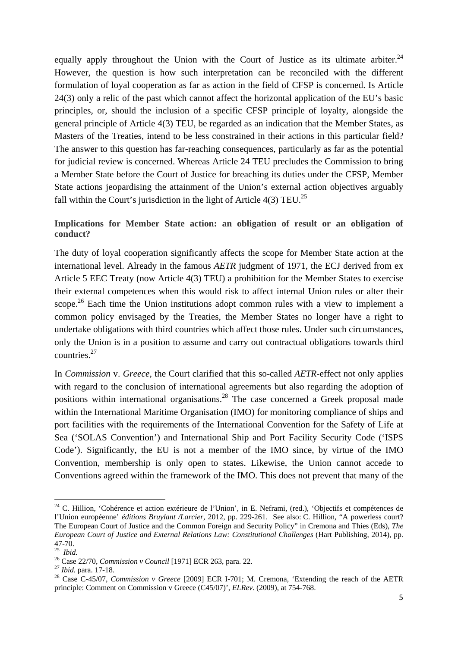equally apply throughout the Union with the Court of Justice as its ultimate arbiter.<sup>24</sup> However, the question is how such interpretation can be reconciled with the different formulation of loyal cooperation as far as action in the field of CFSP is concerned. Is Article 24(3) only a relic of the past which cannot affect the horizontal application of the EU's basic principles, or, should the inclusion of a specific CFSP principle of loyalty, alongside the general principle of Article 4(3) TEU, be regarded as an indication that the Member States, as Masters of the Treaties, intend to be less constrained in their actions in this particular field? The answer to this question has far-reaching consequences, particularly as far as the potential for judicial review is concerned. Whereas Article 24 TEU precludes the Commission to bring a Member State before the Court of Justice for breaching its duties under the CFSP, Member State actions jeopardising the attainment of the Union's external action objectives arguably fall within the Court's jurisdiction in the light of Article  $4(3)$  TEU.<sup>25</sup>

# **Implications for Member State action: an obligation of result or an obligation of conduct?**

The duty of loyal cooperation significantly affects the scope for Member State action at the international level. Already in the famous *AETR* judgment of 1971, the ECJ derived from ex Article 5 EEC Treaty (now Article 4(3) TEU) a prohibition for the Member States to exercise their external competences when this would risk to affect internal Union rules or alter their scope.<sup>26</sup> Each time the Union institutions adopt common rules with a view to implement a common policy envisaged by the Treaties, the Member States no longer have a right to undertake obligations with third countries which affect those rules. Under such circumstances, only the Union is in a position to assume and carry out contractual obligations towards third countries.27

In *Commission* v. *Greece*, the Court clarified that this so-called *AETR-*effect not only applies with regard to the conclusion of international agreements but also regarding the adoption of positions within international organisations.<sup>28</sup> The case concerned a Greek proposal made within the International Maritime Organisation (IMO) for monitoring compliance of ships and port facilities with the requirements of the International Convention for the Safety of Life at Sea ('SOLAS Convention') and International Ship and Port Facility Security Code ('ISPS Code'). Significantly, the EU is not a member of the IMO since, by virtue of the IMO Convention, membership is only open to states. Likewise, the Union cannot accede to Conventions agreed within the framework of the IMO. This does not prevent that many of the

<sup>&</sup>lt;sup>24</sup> C. Hillion, 'Cohérence et action extérieure de l'Union', in E. Neframi, (red.), 'Objectifs et compétences de l'Union européenne' *éditions Bruylant /Larcier*, 2012, pp. 229-261. See also: C. Hillion, "A powerless court? The European Court of Justice and the Common Foreign and Security Policy" in Cremona and Thies (Eds), *The European Court of Justice and External Relations Law: Constitutional Challenges* (Hart Publishing, 2014), pp.  $47-70.$ <sup>25</sup> *Ibid.* 

<sup>&</sup>lt;sup>26</sup> Case 22/70, *Commission v Council* [1971] ECR 263, para. 22.<br>
<sup>27</sup> *Ibid.* para. 17-18.<br>
<sup>28</sup> Case C-45/07, *Commission v Greece* [2009] ECR I-701; M. Cremona, 'Extending the reach of the AETR principle: Comment on Commission v Greece (C45/07)', *ELRev.* (2009), at 754-768.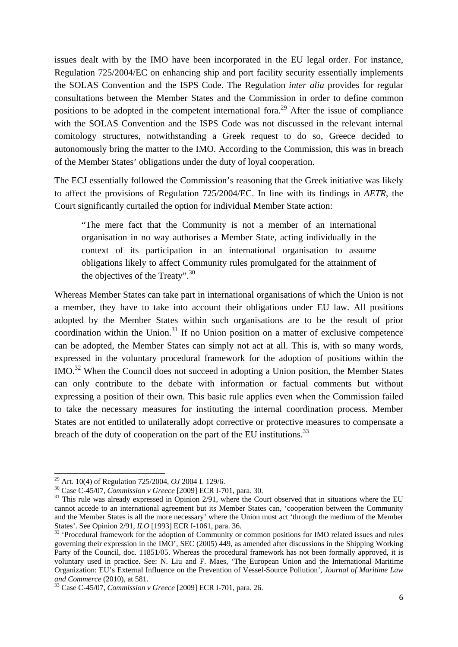issues dealt with by the IMO have been incorporated in the EU legal order. For instance, Regulation 725/2004/EC on enhancing ship and port facility security essentially implements the SOLAS Convention and the ISPS Code. The Regulation *inter alia* provides for regular consultations between the Member States and the Commission in order to define common positions to be adopted in the competent international fora.<sup>29</sup> After the issue of compliance with the SOLAS Convention and the ISPS Code was not discussed in the relevant internal comitology structures, notwithstanding a Greek request to do so, Greece decided to autonomously bring the matter to the IMO. According to the Commission, this was in breach of the Member States' obligations under the duty of loyal cooperation.

The ECJ essentially followed the Commission's reasoning that the Greek initiative was likely to affect the provisions of Regulation 725/2004/EC. In line with its findings in *AETR*, the Court significantly curtailed the option for individual Member State action:

"The mere fact that the Community is not a member of an international organisation in no way authorises a Member State, acting individually in the context of its participation in an international organisation to assume obligations likely to affect Community rules promulgated for the attainment of the objectives of the Treaty".<sup>30</sup>

Whereas Member States can take part in international organisations of which the Union is not a member, they have to take into account their obligations under EU law. All positions adopted by the Member States within such organisations are to be the result of prior coordination within the Union.<sup>31</sup> If no Union position on a matter of exclusive competence can be adopted, the Member States can simply not act at all. This is, with so many words, expressed in the voluntary procedural framework for the adoption of positions within the IMO.32 When the Council does not succeed in adopting a Union position, the Member States can only contribute to the debate with information or factual comments but without expressing a position of their own. This basic rule applies even when the Commission failed to take the necessary measures for instituting the internal coordination process. Member States are not entitled to unilaterally adopt corrective or protective measures to compensate a breach of the duty of cooperation on the part of the EU institutions.<sup>33</sup>

<sup>&</sup>lt;sup>29</sup> Art. 10(4) of Regulation 725/2004, *OJ* 2004 L 129/6.<br><sup>30</sup> Case C-45/07, *Commission v Greece* [2009] ECR I-701, para. 30.<br><sup>31</sup> This rule was already expressed in Opinion 2/91, where the Court observed that in situat cannot accede to an international agreement but its Member States can, 'cooperation between the Community and the Member States is all the more necessary' where the Union must act 'through the medium of the Member States'. See Opinion 2/91, *ILO* [1993] ECR I-1061, para. 36.<br><sup>32</sup> 'Procedural framework for the adoption of Community or common positions for IMO related issues and rules

governing their expression in the IMO', SEC (2005) 449, as amended after discussions in the Shipping Working Party of the Council, doc. 11851/05. Whereas the procedural framework has not been formally approved, it is voluntary used in practice. See: N. Liu and F. Maes, 'The European Union and the International Maritime Organization: EU's External Influence on the Prevention of Vessel-Source Pollution', *Journal of Maritime Law*  and Commerce (2010), at 581.<br><sup>33</sup> Case C-45/07, *Commission v Greece* [2009] ECR I-701, para. 26.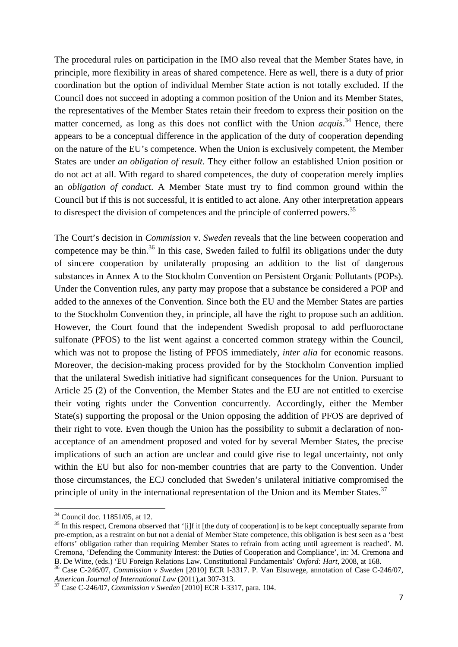The procedural rules on participation in the IMO also reveal that the Member States have, in principle, more flexibility in areas of shared competence. Here as well, there is a duty of prior coordination but the option of individual Member State action is not totally excluded. If the Council does not succeed in adopting a common position of the Union and its Member States, the representatives of the Member States retain their freedom to express their position on the matter concerned, as long as this does not conflict with the Union *acquis*.<sup>34</sup> Hence, there appears to be a conceptual difference in the application of the duty of cooperation depending on the nature of the EU's competence. When the Union is exclusively competent, the Member States are under *an obligation of result*. They either follow an established Union position or do not act at all. With regard to shared competences, the duty of cooperation merely implies an *obligation of conduct*. A Member State must try to find common ground within the Council but if this is not successful, it is entitled to act alone. Any other interpretation appears to disrespect the division of competences and the principle of conferred powers.<sup>35</sup>

The Court's decision in *Commission* v. *Sweden* reveals that the line between cooperation and competence may be thin.<sup>36</sup> In this case, Sweden failed to fulfil its obligations under the duty of sincere cooperation by unilaterally proposing an addition to the list of dangerous substances in Annex A to the Stockholm Convention on Persistent Organic Pollutants (POPs). Under the Convention rules, any party may propose that a substance be considered a POP and added to the annexes of the Convention. Since both the EU and the Member States are parties to the Stockholm Convention they, in principle, all have the right to propose such an addition. However, the Court found that the independent Swedish proposal to add perfluoroctane sulfonate (PFOS) to the list went against a concerted common strategy within the Council, which was not to propose the listing of PFOS immediately, *inter alia* for economic reasons. Moreover, the decision-making process provided for by the Stockholm Convention implied that the unilateral Swedish initiative had significant consequences for the Union. Pursuant to Article 25 (2) of the Convention, the Member States and the EU are not entitled to exercise their voting rights under the Convention concurrently. Accordingly, either the Member State(s) supporting the proposal or the Union opposing the addition of PFOS are deprived of their right to vote. Even though the Union has the possibility to submit a declaration of nonacceptance of an amendment proposed and voted for by several Member States, the precise implications of such an action are unclear and could give rise to legal uncertainty, not only within the EU but also for non-member countries that are party to the Convention. Under those circumstances, the ECJ concluded that Sweden's unilateral initiative compromised the principle of unity in the international representation of the Union and its Member States.<sup>37</sup>

<sup>34</sup> Council doc. 11851/05, at 12.

<sup>&</sup>lt;sup>35</sup> In this respect, Cremona observed that '[i]f it [the duty of cooperation] is to be kept conceptually separate from pre-emption, as a restraint on but not a denial of Member State competence, this obligation is best seen as a 'best efforts' obligation rather than requiring Member States to refrain from acting until agreement is reached'. M. Cremona, 'Defending the Community Interest: the Duties of Cooperation and Compliance', in: M. Cremona and

B. De Witte, (eds.) 'EU Foreign Relations Law. Constitutional Fundamentals' *Oxford: Hart,* 2008, at 168.<br><sup>36</sup> Case C-246/07, *Commission v Sweden* [2010] ECR I-3317. P. Van Elsuwege, annotation of Case C-246/07, *American* 

<sup>&</sup>lt;sup>37</sup> Case C-246/07, *Commission v Sweden* [2010] ECR I-3317, para. 104.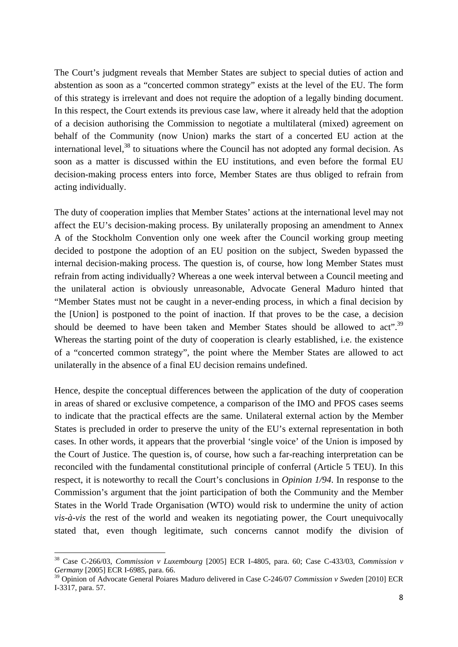The Court's judgment reveals that Member States are subject to special duties of action and abstention as soon as a "concerted common strategy" exists at the level of the EU. The form of this strategy is irrelevant and does not require the adoption of a legally binding document. In this respect, the Court extends its previous case law, where it already held that the adoption of a decision authorising the Commission to negotiate a multilateral (mixed) agreement on behalf of the Community (now Union) marks the start of a concerted EU action at the international level, $38$  to situations where the Council has not adopted any formal decision. As soon as a matter is discussed within the EU institutions, and even before the formal EU decision-making process enters into force, Member States are thus obliged to refrain from acting individually.

The duty of cooperation implies that Member States' actions at the international level may not affect the EU's decision-making process. By unilaterally proposing an amendment to Annex A of the Stockholm Convention only one week after the Council working group meeting decided to postpone the adoption of an EU position on the subject, Sweden bypassed the internal decision-making process. The question is, of course, how long Member States must refrain from acting individually? Whereas a one week interval between a Council meeting and the unilateral action is obviously unreasonable, Advocate General Maduro hinted that "Member States must not be caught in a never-ending process, in which a final decision by the [Union] is postponed to the point of inaction. If that proves to be the case, a decision should be deemed to have been taken and Member States should be allowed to act".<sup>39</sup> Whereas the starting point of the duty of cooperation is clearly established, i.e. the existence of a "concerted common strategy", the point where the Member States are allowed to act unilaterally in the absence of a final EU decision remains undefined.

Hence, despite the conceptual differences between the application of the duty of cooperation in areas of shared or exclusive competence, a comparison of the IMO and PFOS cases seems to indicate that the practical effects are the same. Unilateral external action by the Member States is precluded in order to preserve the unity of the EU's external representation in both cases. In other words, it appears that the proverbial 'single voice' of the Union is imposed by the Court of Justice. The question is, of course, how such a far-reaching interpretation can be reconciled with the fundamental constitutional principle of conferral (Article 5 TEU). In this respect, it is noteworthy to recall the Court's conclusions in *Opinion 1/94*. In response to the Commission's argument that the joint participation of both the Community and the Member States in the World Trade Organisation (WTO) would risk to undermine the unity of action *vis-à-vis* the rest of the world and weaken its negotiating power, the Court unequivocally stated that, even though legitimate, such concerns cannot modify the division of

<sup>38</sup> Case C-266/03, *Commission v Luxembourg* [2005] ECR I-4805, para. 60; Case C-433/03, *Commission v Germany* [2005] ECR I-6985, para. 66.

<sup>39</sup> Opinion of Advocate General Poiares Maduro delivered in Case C-246/07 *Commission v Sweden* [2010] ECR I-3317, para. 57.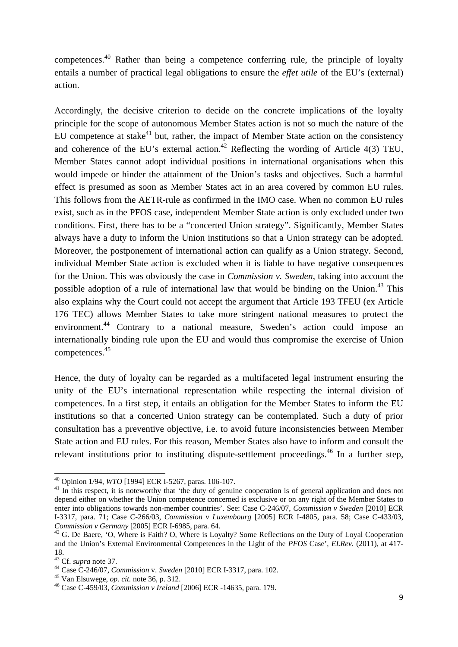competences.40 Rather than being a competence conferring rule, the principle of loyalty entails a number of practical legal obligations to ensure the *effet utile* of the EU's (external) action.

Accordingly, the decisive criterion to decide on the concrete implications of the loyalty principle for the scope of autonomous Member States action is not so much the nature of the EU competence at stake $41$  but, rather, the impact of Member State action on the consistency and coherence of the EU's external action.<sup>42</sup> Reflecting the wording of Article 4(3) TEU, Member States cannot adopt individual positions in international organisations when this would impede or hinder the attainment of the Union's tasks and objectives. Such a harmful effect is presumed as soon as Member States act in an area covered by common EU rules. This follows from the AETR-rule as confirmed in the IMO case. When no common EU rules exist, such as in the PFOS case, independent Member State action is only excluded under two conditions. First, there has to be a "concerted Union strategy". Significantly, Member States always have a duty to inform the Union institutions so that a Union strategy can be adopted. Moreover, the postponement of international action can qualify as a Union strategy. Second, individual Member State action is excluded when it is liable to have negative consequences for the Union. This was obviously the case in *Commission v. Sweden*, taking into account the possible adoption of a rule of international law that would be binding on the Union.<sup>43</sup> This also explains why the Court could not accept the argument that Article 193 TFEU (ex Article 176 TEC) allows Member States to take more stringent national measures to protect the environment.<sup>44</sup> Contrary to a national measure, Sweden's action could impose an internationally binding rule upon the EU and would thus compromise the exercise of Union competences.45

Hence, the duty of loyalty can be regarded as a multifaceted legal instrument ensuring the unity of the EU's international representation while respecting the internal division of competences. In a first step, it entails an obligation for the Member States to inform the EU institutions so that a concerted Union strategy can be contemplated. Such a duty of prior consultation has a preventive objective, i.e. to avoid future inconsistencies between Member State action and EU rules. For this reason, Member States also have to inform and consult the relevant institutions prior to instituting dispute-settlement proceedings.<sup>46</sup> In a further step,

<sup>&</sup>lt;sup>40</sup> Opinion 1/94, *WTO* [1994] ECR I-5267, paras. 106-107.<br><sup>41</sup> In this respect, it is noteworthy that 'the duty of genuine cooperation is of general application and does not depend either on whether the Union competence concerned is exclusive or on any right of the Member States to enter into obligations towards non-member countries'. See: Case C-246/07, *Commission v Sweden* [2010] ECR I-3317, para. 71; Case C-266/03, *Commission v Luxembourg* [2005] ECR I-4805, para. 58; Case C-433/03, *Commission v Germany* [2005] ECR I-6985, para. 64.<br><sup>42</sup> G. De Baere, 'O, Where is Faith? O, Where is Loyalty? Some Reflections on the Duty of Loyal Cooperation

and the Union's External Environmental Competences in the Light of the *PFOS* Case', *ELRev.* (2011), at 417- 18.  $43$  Cf. *supra* note 37.

<sup>&</sup>lt;sup>44</sup> Case C-246/07, *Commission v. Sweden* [2010] ECR I-3317, para. 102.<br><sup>45</sup> Van Elsuwege, *op. cit.* note 36, p. 312.<br><sup>46</sup> Case C-459/03, *Commission v Ireland* [2006] ECR -14635, para. 179.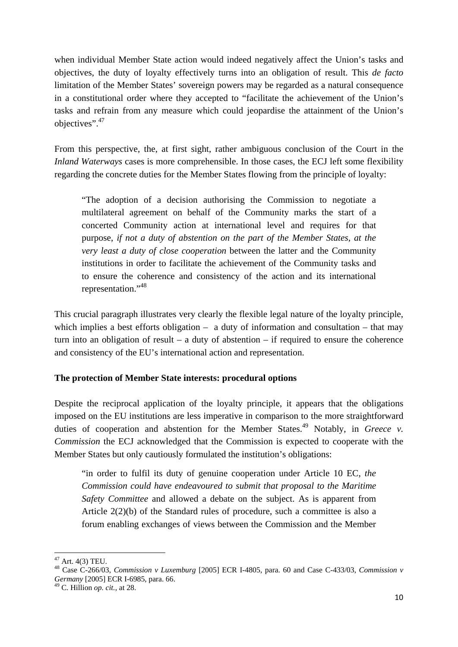when individual Member State action would indeed negatively affect the Union's tasks and objectives, the duty of loyalty effectively turns into an obligation of result. This *de facto* limitation of the Member States' sovereign powers may be regarded as a natural consequence in a constitutional order where they accepted to "facilitate the achievement of the Union's tasks and refrain from any measure which could jeopardise the attainment of the Union's objectives".47

From this perspective, the, at first sight, rather ambiguous conclusion of the Court in the *Inland Waterways* cases is more comprehensible. In those cases, the ECJ left some flexibility regarding the concrete duties for the Member States flowing from the principle of loyalty:

"The adoption of a decision authorising the Commission to negotiate a multilateral agreement on behalf of the Community marks the start of a concerted Community action at international level and requires for that purpose, *if not a duty of abstention on the part of the Member States, at the very least a duty of close cooperation* between the latter and the Community institutions in order to facilitate the achievement of the Community tasks and to ensure the coherence and consistency of the action and its international representation."48

This crucial paragraph illustrates very clearly the flexible legal nature of the loyalty principle, which implies a best efforts obligation – a duty of information and consultation – that may turn into an obligation of result – a duty of abstention – if required to ensure the coherence and consistency of the EU's international action and representation.

# **The protection of Member State interests: procedural options**

Despite the reciprocal application of the loyalty principle, it appears that the obligations imposed on the EU institutions are less imperative in comparison to the more straightforward duties of cooperation and abstention for the Member States.<sup>49</sup> Notably, in *Greece v. Commission* the ECJ acknowledged that the Commission is expected to cooperate with the Member States but only cautiously formulated the institution's obligations:

"in order to fulfil its duty of genuine cooperation under Article 10 EC, *the Commission could have endeavoured to submit that proposal to the Maritime Safety Committee* and allowed a debate on the subject. As is apparent from Article 2(2)(b) of the Standard rules of procedure, such a committee is also a forum enabling exchanges of views between the Commission and the Member

 47 Art. 4(3) TEU.

<sup>48</sup> Case C-266/03, *Commission v Luxemburg* [2005] ECR I-4805, para. 60 and Case C-433/03, *Commission v Germany* [2005] ECR I-6985, para. 66.

<sup>49</sup> C. Hillion *op. cit.*, at 28.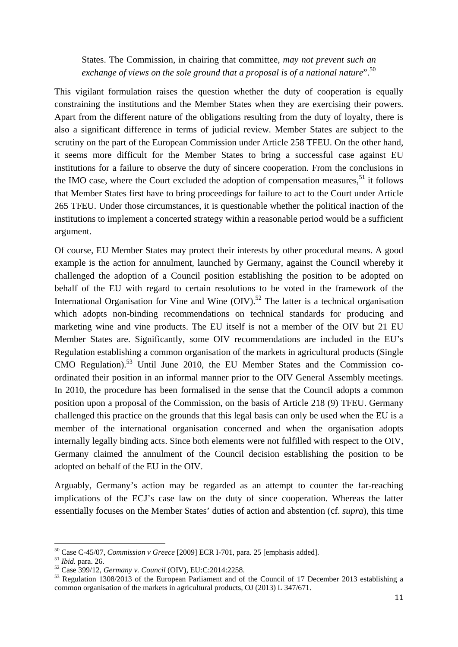States. The Commission, in chairing that committee, *may not prevent such an exchange of views on the sole ground that a proposal is of a national nature*".50

This vigilant formulation raises the question whether the duty of cooperation is equally constraining the institutions and the Member States when they are exercising their powers. Apart from the different nature of the obligations resulting from the duty of loyalty, there is also a significant difference in terms of judicial review. Member States are subject to the scrutiny on the part of the European Commission under Article 258 TFEU. On the other hand, it seems more difficult for the Member States to bring a successful case against EU institutions for a failure to observe the duty of sincere cooperation. From the conclusions in the IMO case, where the Court excluded the adoption of compensation measures,  $51$  it follows that Member States first have to bring proceedings for failure to act to the Court under Article 265 TFEU. Under those circumstances, it is questionable whether the political inaction of the institutions to implement a concerted strategy within a reasonable period would be a sufficient argument.

Of course, EU Member States may protect their interests by other procedural means. A good example is the action for annulment, launched by Germany, against the Council whereby it challenged the adoption of a Council position establishing the position to be adopted on behalf of the EU with regard to certain resolutions to be voted in the framework of the International Organisation for Vine and Wine  $(OIV)$ .<sup>52</sup> The latter is a technical organisation which adopts non-binding recommendations on technical standards for producing and marketing wine and vine products. The EU itself is not a member of the OIV but 21 EU Member States are. Significantly, some OIV recommendations are included in the EU's Regulation establishing a common organisation of the markets in agricultural products (Single CMO Regulation).53 Until June 2010, the EU Member States and the Commission coordinated their position in an informal manner prior to the OIV General Assembly meetings. In 2010, the procedure has been formalised in the sense that the Council adopts a common position upon a proposal of the Commission, on the basis of Article 218 (9) TFEU. Germany challenged this practice on the grounds that this legal basis can only be used when the EU is a member of the international organisation concerned and when the organisation adopts internally legally binding acts. Since both elements were not fulfilled with respect to the OIV, Germany claimed the annulment of the Council decision establishing the position to be adopted on behalf of the EU in the OIV.

Arguably, Germany's action may be regarded as an attempt to counter the far-reaching implications of the ECJ's case law on the duty of since cooperation. Whereas the latter essentially focuses on the Member States' duties of action and abstention (cf. *supra*), this time

<sup>&</sup>lt;sup>50</sup> Case C-45/07, *Commission v Greece* [2009] ECR I-701, para, 25 [emphasis added].

<sup>&</sup>lt;sup>51</sup> *Ibid.* para. 26.<br><sup>52</sup> Case 399/12, *Germany v. Council* (OIV), EU:C:2014:2258.<br><sup>53</sup> Regulation 1308/2013 of the European Parliament and of the Council of 17 December 2013 establishing a common organisation of the markets in agricultural products, OJ (2013) L 347/671.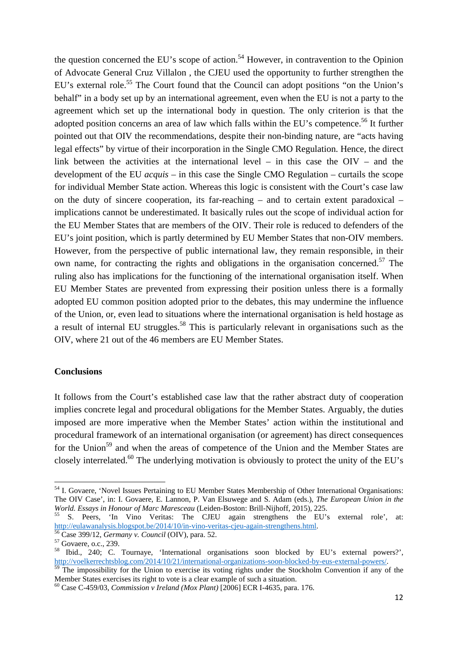the question concerned the EU's scope of action.<sup>54</sup> However, in contravention to the Opinion of Advocate General Cruz Villalon , the CJEU used the opportunity to further strengthen the EU's external role.<sup>55</sup> The Court found that the Council can adopt positions "on the Union's behalf" in a body set up by an international agreement, even when the EU is not a party to the agreement which set up the international body in question. The only criterion is that the adopted position concerns an area of law which falls within the EU's competence.<sup>56</sup> It further pointed out that OIV the recommendations, despite their non-binding nature, are "acts having legal effects" by virtue of their incorporation in the Single CMO Regulation. Hence, the direct link between the activities at the international level – in this case the OIV – and the development of the EU *acquis* – in this case the Single CMO Regulation – curtails the scope for individual Member State action. Whereas this logic is consistent with the Court's case law on the duty of sincere cooperation, its far-reaching – and to certain extent paradoxical – implications cannot be underestimated. It basically rules out the scope of individual action for the EU Member States that are members of the OIV. Their role is reduced to defenders of the EU's joint position, which is partly determined by EU Member States that non-OIV members. However, from the perspective of public international law, they remain responsible, in their own name, for contracting the rights and obligations in the organisation concerned.<sup>57</sup> The ruling also has implications for the functioning of the international organisation itself. When EU Member States are prevented from expressing their position unless there is a formally adopted EU common position adopted prior to the debates, this may undermine the influence of the Union, or, even lead to situations where the international organisation is held hostage as a result of internal EU struggles.<sup>58</sup> This is particularly relevant in organisations such as the OIV, where 21 out of the 46 members are EU Member States.

## **Conclusions**

It follows from the Court's established case law that the rather abstract duty of cooperation implies concrete legal and procedural obligations for the Member States. Arguably, the duties imposed are more imperative when the Member States' action within the institutional and procedural framework of an international organisation (or agreement) has direct consequences for the Union<sup>59</sup> and when the areas of competence of the Union and the Member States are closely interrelated.60 The underlying motivation is obviously to protect the unity of the EU's

<sup>&</sup>lt;sup>54</sup> I. Govaere, 'Novel Issues Pertaining to EU Member States Membership of Other International Organisations: The OIV Case', in: I. Govaere, E. Lannon, P. Van Elsuwege and S. Adam (eds.), *The European Union in the World. Essays in Honour of Marc Maresceau* (Leiden-Boston: Brill-Nijhoff, 2015), 225.<br><sup>55</sup> S. Peers, 'In Vino Veritas: The CJEU again strengthens the EU's external role', at:

http://eulawanalysis.blogspot.be/2014/10/in-vino-veritas-cjeu-again-strengthens.html. 56 Case 399/12, *Germany v. Council* (OIV), para. 52. 57 Govaere, o.c., 239.

<sup>58</sup> Ibid., 240; C. Tournaye, 'International organisations soon blocked by EU's external powers?',

http://voelkerrechtsblog.com/2014/10/21/international-organizations-soon-blocked-by-eus-external-powers/.<br><sup>59</sup> The impossibility for the Union to exercise its voting rights under the Stockholm Convention if any of the<br>Memb

<sup>&</sup>lt;sup>60</sup> Case C-459/03, *Commission v Ireland (Mox Plant)* [2006] ECR I-4635, para. 176.